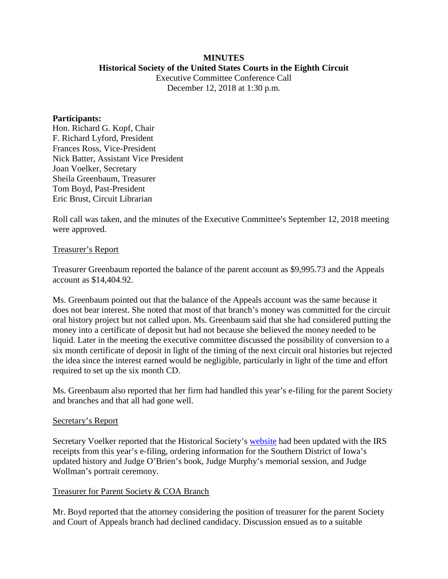### **MINUTES Historical Society of the United States Courts in the Eighth Circuit**

Executive Committee Conference Call December 12, 2018 at 1:30 p.m.

### **Participants:**

Hon. Richard G. Kopf, Chair F. Richard Lyford, President Frances Ross, Vice-President Nick Batter, Assistant Vice President Joan Voelker, Secretary Sheila Greenbaum, Treasurer Tom Boyd, Past-President Eric Brust, Circuit Librarian

Roll call was taken, and the minutes of the Executive Committee's September 12, 2018 meeting were approved.

### Treasurer's Report

Treasurer Greenbaum reported the balance of the parent account as \$9,995.73 and the Appeals account as \$14,404.92.

Ms. Greenbaum pointed out that the balance of the Appeals account was the same because it does not bear interest. She noted that most of that branch's money was committed for the circuit oral history project but not called upon. Ms. Greenbaum said that she had considered putting the money into a certificate of deposit but had not because she believed the money needed to be liquid. Later in the meeting the executive committee discussed the possibility of conversion to a six month certificate of deposit in light of the timing of the next circuit oral histories but rejected the idea since the interest earned would be negligible, particularly in light of the time and effort required to set up the six month CD.

Ms. Greenbaum also reported that her firm had handled this year's e-filing for the parent Society and branches and that all had gone well.

#### Secretary's Report

Secretary Voelker reported that the Historical Society's [website](http://www.lb8.uscourts.gov/pubsandservices/histsociety/hist_society.html) had been updated with the IRS receipts from this year's e-filing, ordering information for the Southern District of Iowa's updated history and Judge O'Brien's book, Judge Murphy's memorial session, and Judge Wollman's portrait ceremony.

### Treasurer for Parent Society & COA Branch

Mr. Boyd reported that the attorney considering the position of treasurer for the parent Society and Court of Appeals branch had declined candidacy. Discussion ensued as to a suitable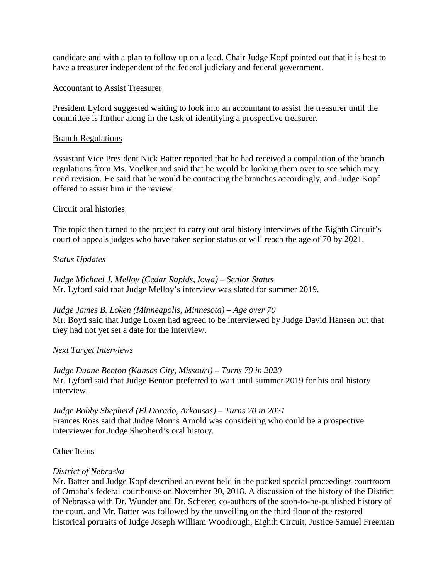candidate and with a plan to follow up on a lead. Chair Judge Kopf pointed out that it is best to have a treasurer independent of the federal judiciary and federal government.

## Accountant to Assist Treasurer

President Lyford suggested waiting to look into an accountant to assist the treasurer until the committee is further along in the task of identifying a prospective treasurer.

## Branch Regulations

Assistant Vice President Nick Batter reported that he had received a compilation of the branch regulations from Ms. Voelker and said that he would be looking them over to see which may need revision. He said that he would be contacting the branches accordingly, and Judge Kopf offered to assist him in the review.

## Circuit oral histories

The topic then turned to the project to carry out oral history interviews of the Eighth Circuit's court of appeals judges who have taken senior status or will reach the age of 70 by 2021.

# *Status Updates*

*Judge Michael J. Melloy (Cedar Rapids, Iowa) – Senior Status* Mr. Lyford said that Judge Melloy's interview was slated for summer 2019.

*Judge James B. Loken (Minneapolis, Minnesota) – Age over 70* Mr. Boyd said that Judge Loken had agreed to be interviewed by Judge David Hansen but that they had not yet set a date for the interview.

# *Next Target Interviews*

*Judge Duane Benton (Kansas City, Missouri) – Turns 70 in 2020* Mr. Lyford said that Judge Benton preferred to wait until summer 2019 for his oral history interview.

*Judge Bobby Shepherd (El Dorado, Arkansas) – Turns 70 in 2021* Frances Ross said that Judge Morris Arnold was considering who could be a prospective interviewer for Judge Shepherd's oral history.

### Other Items

# *District of Nebraska*

Mr. Batter and Judge Kopf described an event held in the packed special proceedings courtroom of Omaha's federal courthouse on November 30, 2018. A discussion of the history of the District of Nebraska with Dr. Wunder and Dr. Scherer, co-authors of the soon-to-be-published history of the court, and Mr. Batter was followed by the unveiling on the third floor of the restored historical portraits of Judge Joseph William Woodrough, Eighth Circuit, Justice Samuel Freeman